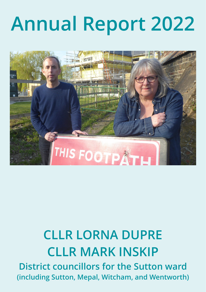# **Annual Report 2022**



# **CLLR LORNA DUPRE CLLR MARK INSKIP District councillors for the Sutton ward (including Sutton, Mepal, Witcham, and Wentworth)**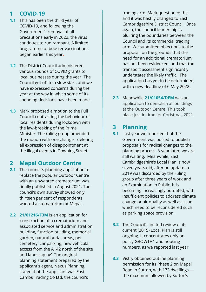## **1 COVID-19**

- **1.1** This has been the third year of COVID-19, and following the Government's removal of all precautions early in 2022, the virus continues to run rampant. A limited programme of booster vaccinations began earlier this year**.**
- **1.2** The District Council administered various rounds of COVID grants to local businesses during the year. The Council got off to a slow start, and we have expressed concerns during the year at the way in which some of its spending decisions have been made.
- **1.3** Mark proposed a motion to the Full Council contrasting the behaviour of local residents during lockdown with the law-breaking of the Prime Minister. The ruling group amended the motion with one change - deleting all expression of disappointment at the illegal events in Downing Street.

# **2 Mepal Outdoor Centre**

- **2.1** The council's planning application to replace the popular Outdoor Centre with an unwanted crematorium was finally published in August 2021. The council's own survey showed only thirteen per cent of respondents wanted a crematorium at Mepal.
- **2.2 21/01216/F3M** is an application for 'construction of a crematorium and associated service and administration building, function building, memorial garden, natural burial areas, pet cemetery, car parking, new vehicular access from the A142 north of the site and landscaping'. The original planning statement prepared by the applicant's agent, Nexus Planning, stated that the applicant was East Cambs Trading Co Ltd, the council's

trading arm. Mark questioned this and it was hastily changed to East Cambridgeshire District Council. Once again, the council leadership is blurring the boundaries between the Council and its commercial trading arm. We submitted objections to the proposal, on the grounds that the need for an additional crematorium has not been evidenced, and that the transport assessment significantly understates the likely traffic. The application has yet to be determined, with a new deadline of 6 May 2022.

**2.3** Meanwhile **21/01054/DEM** was an application to demolish all buildings at the Outdoor Centre. This took place just in time for Christmas 2021.

#### **3 Planning**

- **3.1** Last year we reported that the Government was poised to publish proposals for radical changes to the planning process. A year later, we are still waiting. Meanwhile, East Cambridgeshire's Local Plan is now seven years old, after an update in 2019 was discarded by the ruling group after three years of work and an Examination in Public. It is becoming increasingly outdated, with insufficient policies to address climate change or air quality as well as issue which need to be reconsidered such as parking space provision.
- **3.2** The Council's limited review of its current (2015) Local Plan is still ongoing. It concentrates only on policy GROWTH1 and housing numbers, as we reported last year.
- **3.3** Vistry obtained outline planning permission for its Phase 2 on Mepal Road in Sutton, with 173 dwellings the maximum allowed by Sutton's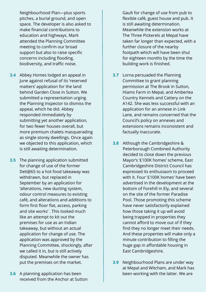Neighbourhood Plan—plus sports pitches, a burial ground, and open space. The developer is also asked to make financial contributions to education and highways. Mark attended the Planning Committee meeting to confirm our broad support but also to raise specific concerns including flooding, biodiversity, and traffic noise.

- **3.4** Abbey Homes lodged an appeal in June against refusal of its 'reserved matters' application for the land behind Garden Close in Sutton. We submitted a representation urging the Planning Inspector to dismiss the appeal, which he did. Abbey responded immediately by submitting yet another application, for two fewer houses overall, but more premium chalets masquerading as single-storey dwellings. Once again we objected to this application, which is still awaiting determination.
- **3.5** The planning application submitted for change of use of the former Deli@65 to a hot food takeaway was withdrawn, but replaced in September by an application for 'alterations, new ducting system, odour control measures to existing café, and alterations and additions to form first floor flat, access, parking and site works' . This looked much like an attempt to kit out the premises for use as an Indian takeaway, but without an actual application for change of use. The application was approved by the Planning Committee, shockingly, after we called it in, but is still actively disputed. Meanwhile the owner has put the premises on the market.
- **3.6** A planning application has been received from the Anchor at Sutton

Gault for change of use from pub to flexible café, guest house and pub. It is still awaiting determination. Meanwhile the extension works at The Three Pickerels at Mepal have taken far longer than expected, with a further closure of the nearby footpath which will have been shut for eighteen months by the time the building work is finished.

- **3.7** Lorna persuaded the Planning Committee to grant planning permission at The Brook in Sutton, Hiams Farm in Mepal, and Amberlea Country Kennels and Cattery on the A142. She was less successful with an application for an annexe in Link Lane, and remains concerned that the Council's policy on annexes and extensions remains inconsistent and factually inaccurate.
- **3.8** Although the Cambridgeshire & Peterborough Combined Authority decided to close down the previous Mayor's '£100K homes' scheme, East Cambridgeshire District Council has expressed its enthusiasm to proceed with it. Four '£100K homes' have been advertised in the development at the bottom of Forehill in Ely, and several on the site of the former Paradise Pool. Those promoting this scheme have never satisfactorily explained how those taking it up will avoid being trapped in properties they cannot afford to move out of if they find they no longer meet their needs. And these properties will make only a minute contribution to filling the huge gap in affordable housing in East Cambridgeshire.
- **3.9** Neighbourhood Plans are under way at Mepal and Witcham, and Mark has been working with the latter. We are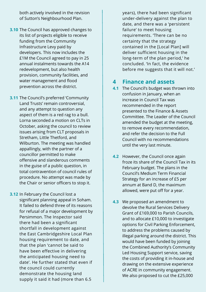both actively involved in the revision of Sutton's Neighbourhood Plan.

- **3.10** The Council has approved changes to its list of projects eligible to receive funding from the Community Infrastructure Levy paid by developers. This now includes the £1M the Council agreed to pay in 25 annual instalments towards the A14 redevelopment, but also health provision, community facilities, and water management and flood prevention across the district.
- **3.11** The Council's preferred 'Community Land Trusts' remain controversial, and any attempt to question any aspect of them is a red rag to a bull. Lorna seconded a motion on CLTs in October, asking the council to review issues arising from CLT proposals in Stretham, Little Thetford, and Wilburton. The meeting was handled appallingly, with the partner of a councillor permitted to make offensive and slanderous comments in the guise of a public question, in total contravention of council rules of procedure. No attempt was made by the Chair or senior officers to stop it.
- **3.12** In February the Council lost a significant planning appeal in Soham. It failed to defend three of its reasons for refusal of a major development by Persimmon. The Inspector said there had been a significant shortfall in development against the East Cambridgeshire Local Plan housing requirement to date, and that the plan 'cannot be said to have been effective in delivering the anticipated housing need to date'. He further stated that even if the council could currently demonstrate the housing land supply it said it had (more than 6.5

years), there had been significant under-delivery against the plan to date, and there was a 'persistent failure' to meet housing requirements. 'There can be no certainty that the strategy contained in the [Local Plan] will deliver sufficient housing in the long-term of the plan period,' he concluded. 'In fact, the evidence before me suggests that it will not.'

#### **4 Finance and assets**

- **4.1** The Council's budget was thrown into confusion in January, when an increase in Council Tax was recommended in the report presented to the Finance & Assets Committee. The Leader of the Council amended the budget at the meeting, to remove every recommendation, and refer the decision to the Full Council with no recommendations until the very last minute.
- **4.2** However, the Council once again froze its share of the Council Tax in its February budget. The plans in the Council's Medium Term Financial Strategy for an increase of £5 per annum at Band D, the maximum allowed, were put off for a year.
- **4.3** We proposed an amendment to devolve the Rural Services Delivery Grant of £169,000 to Parish Councils, and to allocate £10,000 to investigate options for Civil Parking Enforcement, to address the problems caused by illegal parking around the district. This would have been funded by joining the Combined Authority's Community Led Housing Support service, saving the costs of providing it in-house and drawing on the extensive experience of ACRE in community engagement. We also proposed to cut the £25,000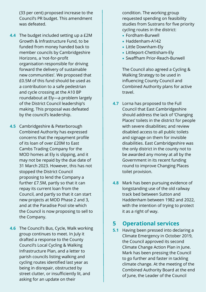(33 per cent) proposed increase to the Council's PR budget. This amendment was defeated.

- **4.4** The budget included setting up a £2M Growth & Infrastructure Fund, to be funded from money handed back to member councils by Cambridgeshire Horizons, a 'not-for-profit organisation responsible for driving forward the delivery of sustainable new communities'. We proposed that £0.5M of this fund should be used as a contribution to a safe pedestrian and cycle crossing at the A10 BP roundabout at Ely—a problem largely of the District Council leadership's making. This proposal was defeated by the council's leadership.
- **4.5** Cambridgeshire & Peterborough Combined Authority has expressed concerns that the repayment profile of its loan of over £20M to East Cambs Trading Company for the MOD homes at Ely is slipping, and it may not be repaid by the due date of 31 March 2023. However, this has not stopped the District Council proposing to lend the Company a further £7.5M, partly so that it can repay its current loan from the Council, and partly so that it can start new projects at MOD Phase 2 and 3, and at the Paradise Pool site which the Council is now proposing to sell to the Company.
- **4.6** The Council's Bus, Cycle, Walk working group continues to meet. In July it drafted a response to the County Council's Local Cycling & Walking Infrastructure Plan, and a letter to parish councils listing walking and cycling routes identified last year as being in disrepair, obstructed by street clutter, or insufficiently lit, and asking for an update on their

condition. The working group requested spending on feasibility studies from Sustrans for five priority cycling routes in the district:

- · Fordham-Burwell
- · Haddenham-A142
- · Little Downham-Ely
- · Littleport-Chettisham-Ely
- · Swaffham Prior-Reach-Burwell

 The Council also agreed a Cycling & Walking Strategy to be used in influencing County Council and Combined Authority plans for active travel.

- **4.7** Lorna has proposed to the Full Council that East Cambridgeshire should address the lack of 'Changing Places' toilets in the district for people with severe disabilities; and review disabled access to all public toilets and signage on them for invisible disabilities. East Cambridgeshire was the only district in the county not to be awarded any money at all by the Government in its recent funding round to improve Changing Places toilet provision.
- **4.8** Mark has been pursuing evidence of longstanding use of the old railway track bed between Sutton and Haddenham between 1982 and 2022, with the intention of trying to protect it as a right of way.

#### **5 Operational services**

**5.1** Having been pressed into declaring a Climate Emergency in October 2019, the Council approved its second Climate Change Action Plan in June. Mark has been pressing the Council to go further and faster in tackling climate change. At the meeting of the Combined Authority Board at the end of June, the Leader of the Council